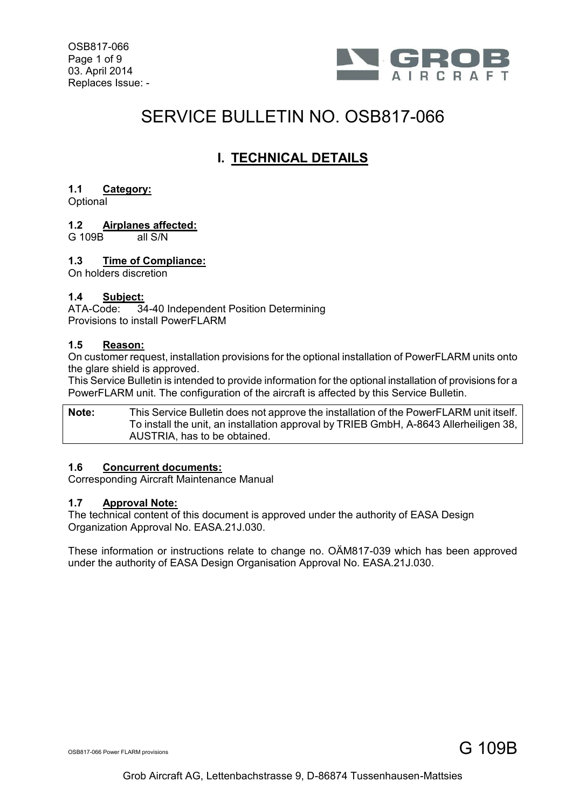OSB817-066 Page 1 of 9 03. April 2014 Replaces Issue: -



# SERVICE BULLETIN NO. OSB817-066

# **I. TECHNICAL DETAILS**

# **1.1 Category:**

**Optional** 

# **1.2 Airplanes affected:**

 $G$  109B

## **1.3 Time of Compliance:**

On holders discretion

## **1.4 Subject:**

ATA-Code: 34-40 Independent Position Determining Provisions to install PowerFLARM

## **1.5 Reason:**

On customer request, installation provisions for the optional installation of PowerFLARM units onto the glare shield is approved.

This Service Bulletin is intended to provide information for the optional installation of provisions for a PowerFLARM unit. The configuration of the aircraft is affected by this Service Bulletin.

**Note:** This Service Bulletin does not approve the installation of the PowerFLARM unit itself. To install the unit, an installation approval by TRIEB GmbH, A-8643 Allerheiligen 38, AUSTRIA, has to be obtained.

## **1.6 Concurrent documents:**

Corresponding Aircraft Maintenance Manual

#### **1.7 Approval Note:**

The technical content of this document is approved under the authority of EASA Design Organization Approval No. EASA.21J.030.

These information or instructions relate to change no. OÄM817-039 which has been approved under the authority of EASA Design Organisation Approval No. EASA.21J.030.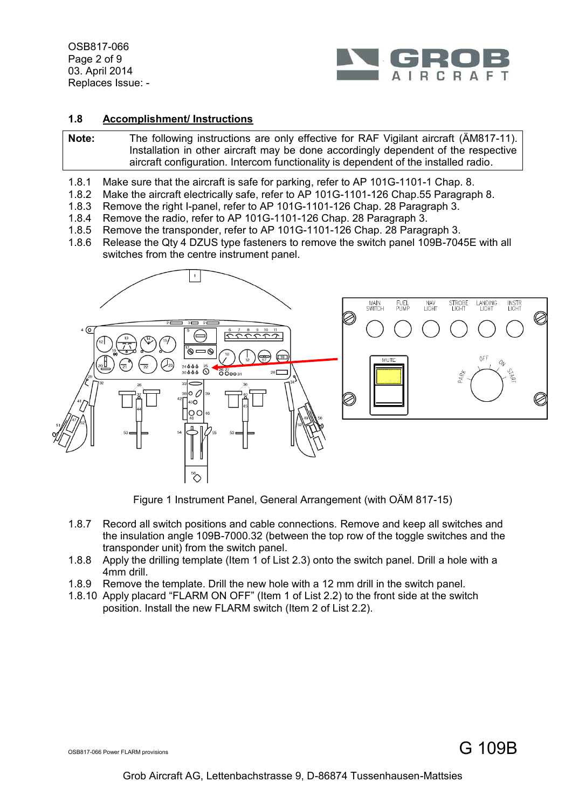OSB817-066 Page 2 of 9 03. April 2014 Replaces Issue: -



#### **1.8 Accomplishment/ Instructions**

**Note:** The following instructions are only effective for RAF Vigilant aircraft (ÄM817-11). Installation in other aircraft may be done accordingly dependent of the respective aircraft configuration. Intercom functionality is dependent of the installed radio.

- 1.8.1 Make sure that the aircraft is safe for parking, refer to AP 101G-1101-1 Chap. 8.
- 1.8.2 Make the aircraft electrically safe, refer to AP 101G-1101-126 Chap.55 Paragraph 8.
- 1.8.3 Remove the right I-panel, refer to AP 101G-1101-126 Chap. 28 Paragraph 3.
- 1.8.4 Remove the radio, refer to AP 101G-1101-126 Chap. 28 Paragraph 3.
- 1.8.5 Remove the transponder, refer to AP 101G-1101-126 Chap. 28 Paragraph 3.
- 1.8.6 Release the Qty 4 DZUS type fasteners to remove the switch panel 109B-7045E with all switches from the centre instrument panel.



Figure 1 Instrument Panel, General Arrangement (with OÄM 817-15)

- 1.8.7 Record all switch positions and cable connections. Remove and keep all switches and the insulation angle 109B-7000.32 (between the top row of the toggle switches and the transponder unit) from the switch panel.
- 1.8.8 Apply the drilling template (Item [1](#page-7-0) of List 2.3) onto the switch panel. Drill a hole with a 4mm drill.
- 1.8.9 Remove the template. Drill the new hole with a 12 mm drill in the switch panel.
- 1.8.10 Apply placard "FLARM ON OFF" (Item [1](#page-7-1) of List 2.2) to the front side at the switch position. Install the new FLARM switch (Item [2](#page-7-2) of List 2.2).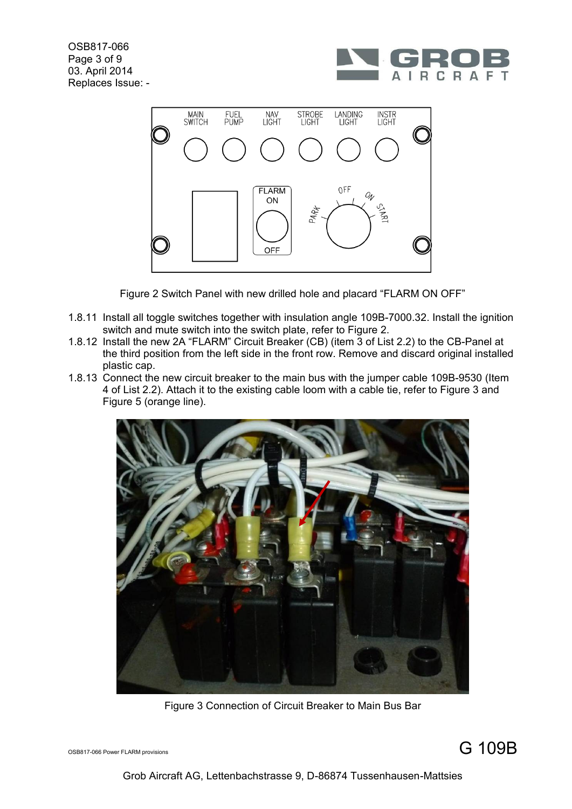OSB817-066 Page 3 of 9 03. April 2014 Replaces Issue: -





Figure 2 Switch Panel with new drilled hole and placard "FLARM ON OFF"

- <span id="page-2-0"></span>1.8.11 Install all toggle switches together with insulation angle 109B-7000.32. Install the ignition switch and mute switch into the switch plate, refer to [Figure 2.](#page-2-0)
- 1.8.12 Install the new 2A "FLARM" Circuit Breaker (CB) (item [3](#page-7-3) of List 2.2) to the CB-Panel at the third position from the left side in the front row. Remove and discard original installed plastic cap.
- 1.8.13 Connect the new circuit breaker to the main bus with the jumper cable 109B-9530 (Item [4](#page-7-4) of List 2.2). Attach it to the existing cable loom with a cable tie, refer to [Figure 3](#page-2-1) and [Figure 5](#page-3-0) (orange line).



Figure 3 Connection of Circuit Breaker to Main Bus Bar

<span id="page-2-1"></span>OSB817-066 Power FLARM provisions G  $109B$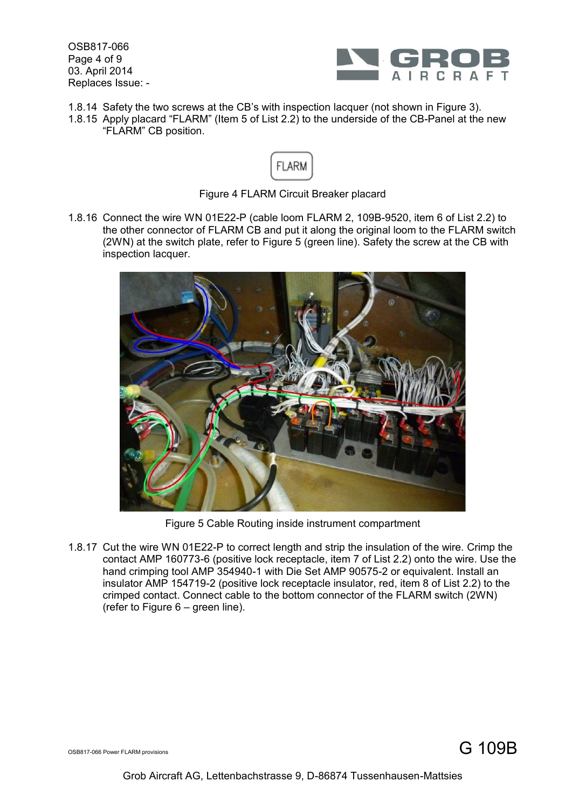OSB817-066 Page 4 of 9 03. April 2014 Replaces Issue: -



- 1.8.14 Safety the two screws at the CB's with inspection lacquer (not shown in [Figure 3\)](#page-2-1).
- 1.8.15 Apply placard "FLARM" (Item [5](#page-7-5) of List 2.2) to the underside of the CB-Panel at the new "FLARM" CB position.



Figure 4 FLARM Circuit Breaker placard

1.8.16 Connect the wire WN 01E22-P (cable loom FLARM 2, 109B-9520, item [6](#page-7-6) of List 2.2) to the other connector of FLARM CB and put it along the original loom to the FLARM switch (2WN) at the switch plate, refer to [Figure 5](#page-3-0) (green line). Safety the screw at the CB with inspection lacquer.



Figure 5 Cable Routing inside instrument compartment

<span id="page-3-0"></span>1.8.17 Cut the wire WN 01E22-P to correct length and strip the insulation of the wire. Crimp the contact AMP 160773-6 (positive lock receptacle, item [7](#page-7-7) of List 2.2) onto the wire. Use the hand crimping tool AMP 354940-1 with Die Set AMP 90575-2 or equivalent. Install an insulator AMP 154719-2 (positive lock receptacle insulator, red, item [8](#page-7-8) of List 2.2) to the crimped contact. Connect cable to the bottom connector of the FLARM switch (2WN) (refer to [Figure 6](#page-4-0) – green line).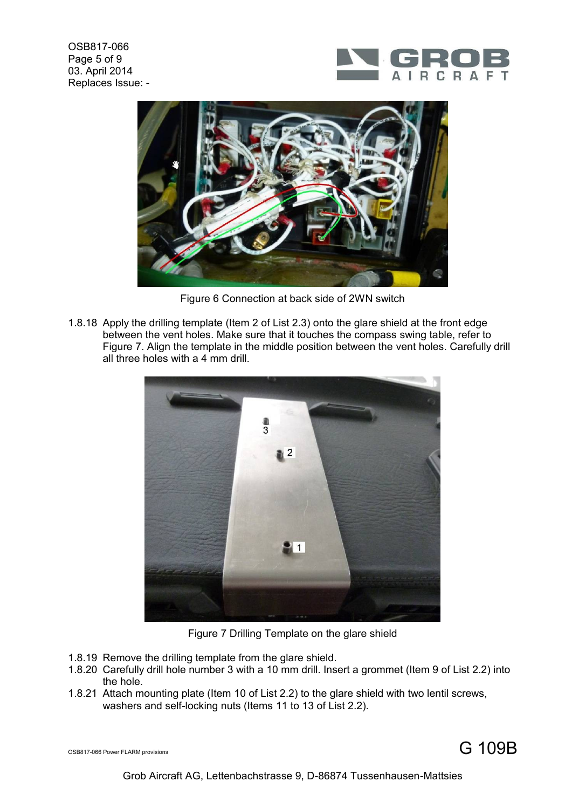OSB817-066 Page 5 of 9 03. April 2014 Replaces Issue: -





Figure 6 Connection at back side of 2WN switch

<span id="page-4-0"></span>1.8.18 Apply the drilling template (Item [2](#page-7-9) of List 2.3) onto the glare shield at the front edge between the vent holes. Make sure that it touches the compass swing table, refer to [Figure 7.](#page-4-1) Align the template in the middle position between the vent holes. Carefully drill all three holes with a 4 mm drill.



Figure 7 Drilling Template on the glare shield

- <span id="page-4-1"></span>1.8.19 Remove the drilling template from the glare shield.
- 1.8.20 Carefully drill hole number 3 with a 10 mm drill. Insert a grommet (Item [9](#page-7-10) of List 2.2) into the hole.
- 1.8.21 Attach mounting plate (Item [10](#page-7-11) of List 2.2) to the glare shield with two lentil screws, washers and self-locking nuts (Items [11](#page-7-12) to [13](#page-7-13) of List 2.2).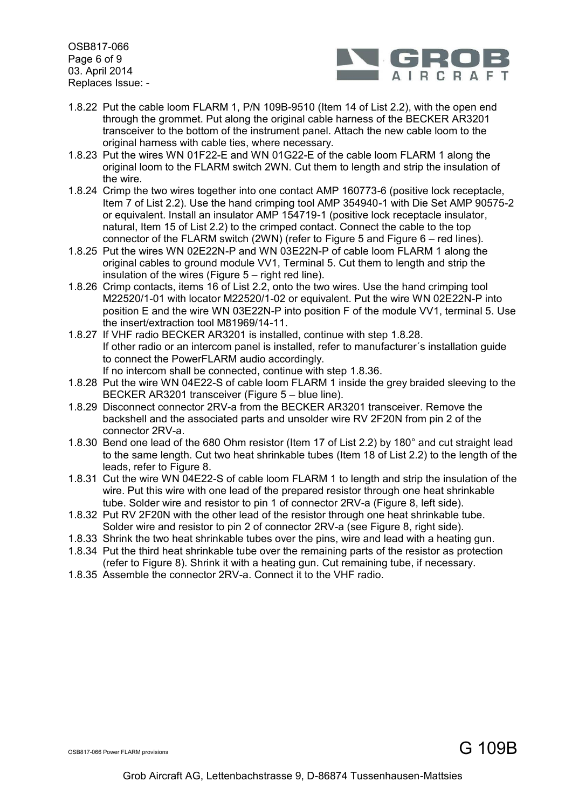OSB817-066 Page 6 of 9 03. April 2014 Replaces Issue: -



- 1.8.22 Put the cable loom FLARM 1, P/N 109B-9510 (Item [14](#page-7-14) of List 2.2), with the open end through the grommet. Put along the original cable harness of the BECKER AR3201 transceiver to the bottom of the instrument panel. Attach the new cable loom to the original harness with cable ties, where necessary.
- 1.8.23 Put the wires WN 01F22-E and WN 01G22-E of the cable loom FLARM 1 along the original loom to the FLARM switch 2WN. Cut them to length and strip the insulation of the wire.
- 1.8.24 Crimp the two wires together into one contact AMP 160773-6 (positive lock receptacle, Item [7](#page-7-7) of List 2.2). Use the hand crimping tool AMP 354940-1 with Die Set AMP 90575-2 or equivalent. Install an insulator AMP 154719-1 (positive lock receptacle insulator, natural, Item [15](#page-7-15) of List 2.2) to the crimped contact. Connect the cable to the top connector of the FLARM switch  $(2WN)$  (refer to [Figure 5](#page-3-0) and [Figure 6](#page-4-0) – red lines).
- 1.8.25 Put the wires WN 02E22N-P and WN 03E22N-P of cable loom FLARM 1 along the original cables to ground module VV1, Terminal 5. Cut them to length and strip the insulation of the wires [\(Figure 5](#page-3-0) – right red line).
- 1.8.26 Crimp contacts, items [16](#page-7-16) of List 2.2, onto the two wires. Use the hand crimping tool M22520/1-01 with locator M22520/1-02 or equivalent. Put the wire WN 02E22N-P into position E and the wire WN 03E22N-P into position F of the module VV1, terminal 5. Use the insert/extraction tool M81969/14-11.
- 1.8.27 If VHF radio BECKER AR3201 is installed, continue with step [1.8.28.](#page-5-0) If other radio or an intercom panel is installed, refer to manufacturer´s installation guide to connect the PowerFLARM audio accordingly. If no intercom shall be connected, continue with step [1.8.36.](#page-6-0)
- <span id="page-5-0"></span>1.8.28 Put the wire WN 04E22-S of cable loom FLARM 1 inside the grey braided sleeving to the BECKER AR3201 transceiver [\(Figure 5](#page-3-0) – blue line).
- 1.8.29 Disconnect connector 2RV-a from the BECKER AR3201 transceiver. Remove the backshell and the associated parts and unsolder wire RV 2F20N from pin 2 of the connector 2RV-a.
- 1.8.30 Bend one lead of the 680 Ohm resistor (Item [17](#page-7-17) of List 2.2) by 180° and cut straight lead to the same length. Cut two heat shrinkable tubes (Item [18](#page-7-18) of List 2.2) to the length of the leads, refer to [Figure 8.](#page-6-1)
- 1.8.31 Cut the wire WN 04E22-S of cable loom FLARM 1 to length and strip the insulation of the wire. Put this wire with one lead of the prepared resistor through one heat shrinkable tube. Solder wire and resistor to pin 1 of connector 2RV-a [\(Figure 8,](#page-6-1) left side).
- 1.8.32 Put RV 2F20N with the other lead of the resistor through one heat shrinkable tube. Solder wire and resistor to pin 2 of connector 2RV-a (see [Figure 8,](#page-6-1) right side).
- 1.8.33 Shrink the two heat shrinkable tubes over the pins, wire and lead with a heating gun.
- 1.8.34 Put the third heat shrinkable tube over the remaining parts of the resistor as protection (refer to [Figure 8\)](#page-6-1). Shrink it with a heating gun. Cut remaining tube, if necessary.
- 1.8.35 Assemble the connector 2RV-a. Connect it to the VHF radio.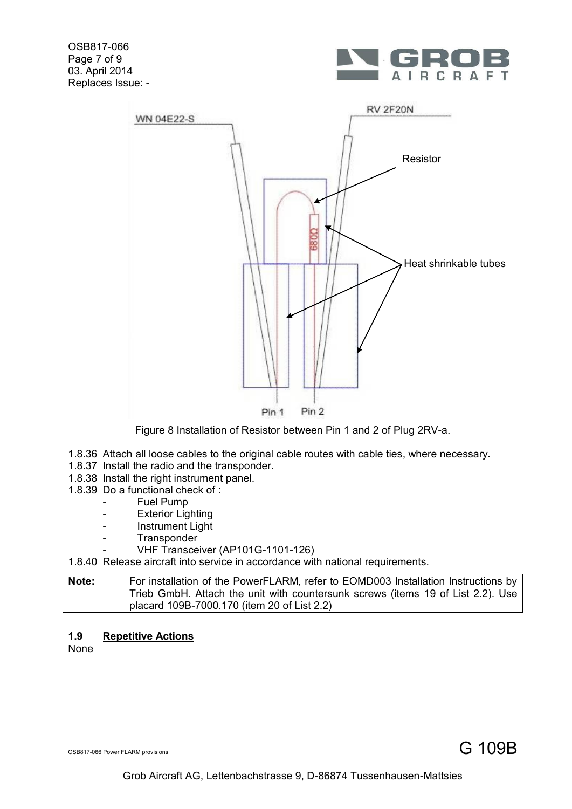OSB817-066 Page 7 of 9 03. April 2014 Replaces Issue: -





Figure 8 Installation of Resistor between Pin 1 and 2 of Plug 2RV-a.

- <span id="page-6-1"></span><span id="page-6-0"></span>1.8.36 Attach all loose cables to the original cable routes with cable ties, where necessary.
- 1.8.37 Install the radio and the transponder.
- 1.8.38 Install the right instrument panel.
- 1.8.39 Do a functional check of :
	- Fuel Pump
	- Exterior Lighting
	- Instrument Light
	- Transponder
		- VHF Transceiver (AP101G-1101-126)

1.8.40 Release aircraft into service in accordance with national requirements.

**Note:** For installation of the PowerFLARM, refer to EOMD003 Installation Instructions by Trieb GmbH. Attach the unit with countersunk screws (items [19](#page-7-19) of List 2.2). Use placard 109B-7000.170 (item [20](#page-7-20) of List 2.2)

# **1.9 Repetitive Actions**

None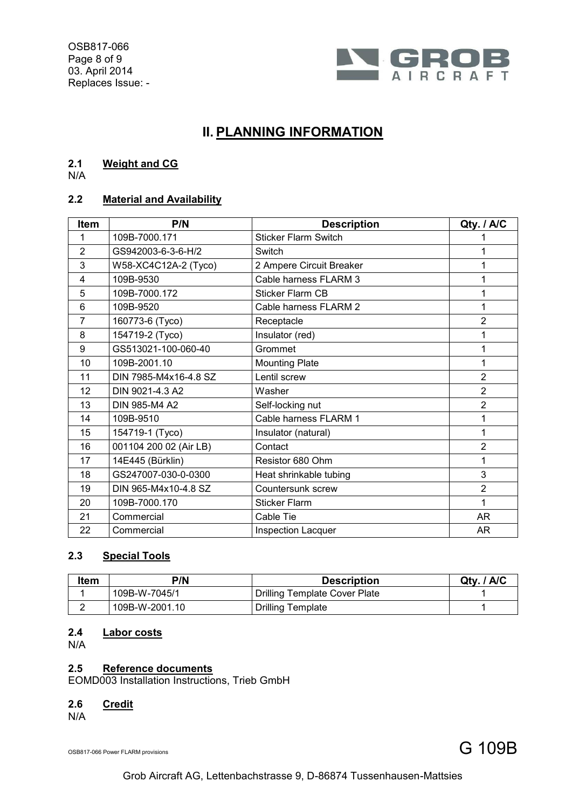OSB817-066 Page 8 of 9 03. April 2014 Replaces Issue: -



# **II. PLANNING INFORMATION**

# **2.1 Weight and CG**

N/A

# **2.2 Material and Availability**

<span id="page-7-12"></span><span id="page-7-11"></span><span id="page-7-10"></span><span id="page-7-8"></span><span id="page-7-7"></span><span id="page-7-6"></span><span id="page-7-5"></span><span id="page-7-4"></span><span id="page-7-3"></span><span id="page-7-2"></span><span id="page-7-1"></span>

| <b>Item</b>    | P/N                    | <b>Description</b>          | Qty. / A/C     |
|----------------|------------------------|-----------------------------|----------------|
| 1              | 109B-7000.171          | <b>Sticker Flarm Switch</b> |                |
| $\overline{2}$ | GS942003-6-3-6-H/2     | Switch                      |                |
| 3              | W58-XC4C12A-2 (Tyco)   | 2 Ampere Circuit Breaker    |                |
| 4              | 109B-9530              | Cable harness FLARM 3       |                |
| 5              | 109B-7000.172          | <b>Sticker Flarm CB</b>     |                |
| 6              | 109B-9520              | Cable harness FLARM 2       |                |
| $\overline{7}$ | 160773-6 (Tyco)        | Receptacle                  | $\overline{2}$ |
| 8              | 154719-2 (Tyco)        | Insulator (red)             |                |
| 9              | GS513021-100-060-40    | Grommet                     |                |
| 10             | 109B-2001.10           | <b>Mounting Plate</b>       | 1              |
| 11             | DIN 7985-M4x16-4.8 SZ  | Lentil screw                | $\overline{2}$ |
| 12             | DIN 9021-4.3 A2        | Washer                      | $\overline{2}$ |
| 13             | DIN 985-M4 A2          | Self-locking nut            | $\overline{2}$ |
| 14             | 109B-9510              | Cable harness FLARM 1       |                |
| 15             | 154719-1 (Tyco)        | Insulator (natural)         | 1              |
| 16             | 001104 200 02 (Air LB) | Contact                     | $\overline{2}$ |
| 17             | 14E445 (Bürklin)       | Resistor 680 Ohm            |                |
| 18             | GS247007-030-0-0300    | Heat shrinkable tubing      | 3              |
| 19             | DIN 965-M4x10-4.8 SZ   | Countersunk screw           | $\overline{2}$ |
| 20             | 109B-7000.170          | <b>Sticker Flarm</b>        | 1              |
| 21             | Commercial             | Cable Tie                   | <b>AR</b>      |
| 22             | Commercial             | Inspection Lacquer          | AR             |

# <span id="page-7-20"></span><span id="page-7-19"></span><span id="page-7-18"></span><span id="page-7-17"></span><span id="page-7-16"></span><span id="page-7-15"></span><span id="page-7-14"></span><span id="page-7-13"></span>**2.3 Special Tools**

<span id="page-7-0"></span>

| <b>Item</b> | P/N            | Description                          | Qty. / A/C |
|-------------|----------------|--------------------------------------|------------|
|             | 109B-W-7045/1  | <b>Drilling Template Cover Plate</b> |            |
|             | 109B-W-2001.10 | <b>Drilling Template</b>             |            |

# <span id="page-7-9"></span>**2.4 Labor costs**

N/A

## **2.5 Reference documents**

EOMD003 Installation Instructions, Trieb GmbH

## **2.6 Credit**

N/A